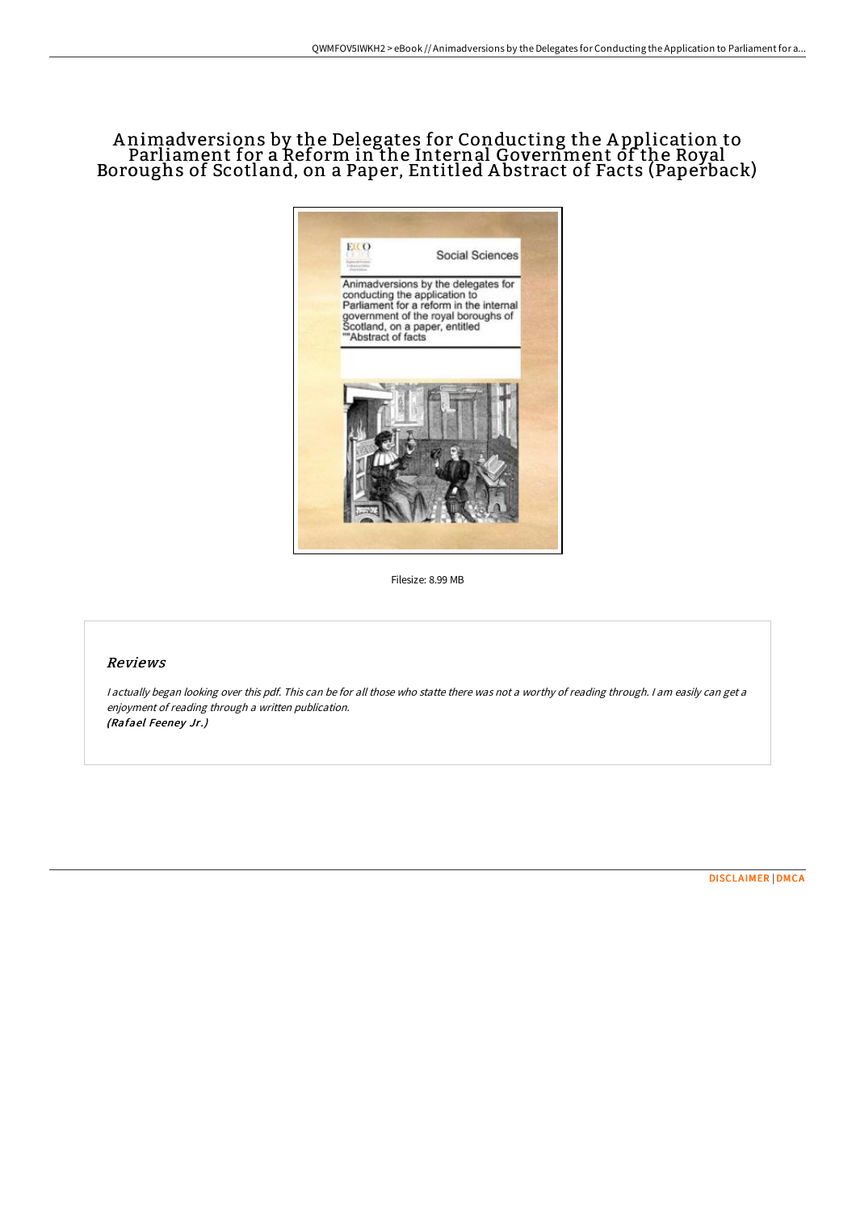# A nimadversions by the Delegates for Conducting the A pplication to Parliament for a Reform in the Internal Government of the Royal Boroughs of Scotland, on a Paper, Entitled A bstract of Facts (Paperback)



Filesize: 8.99 MB

### Reviews

<sup>I</sup> actually began looking over this pdf. This can be for all those who statte there was not <sup>a</sup> worthy of reading through. <sup>I</sup> am easily can get <sup>a</sup> enjoyment of reading through <sup>a</sup> written publication. (Rafael Feeney Jr.)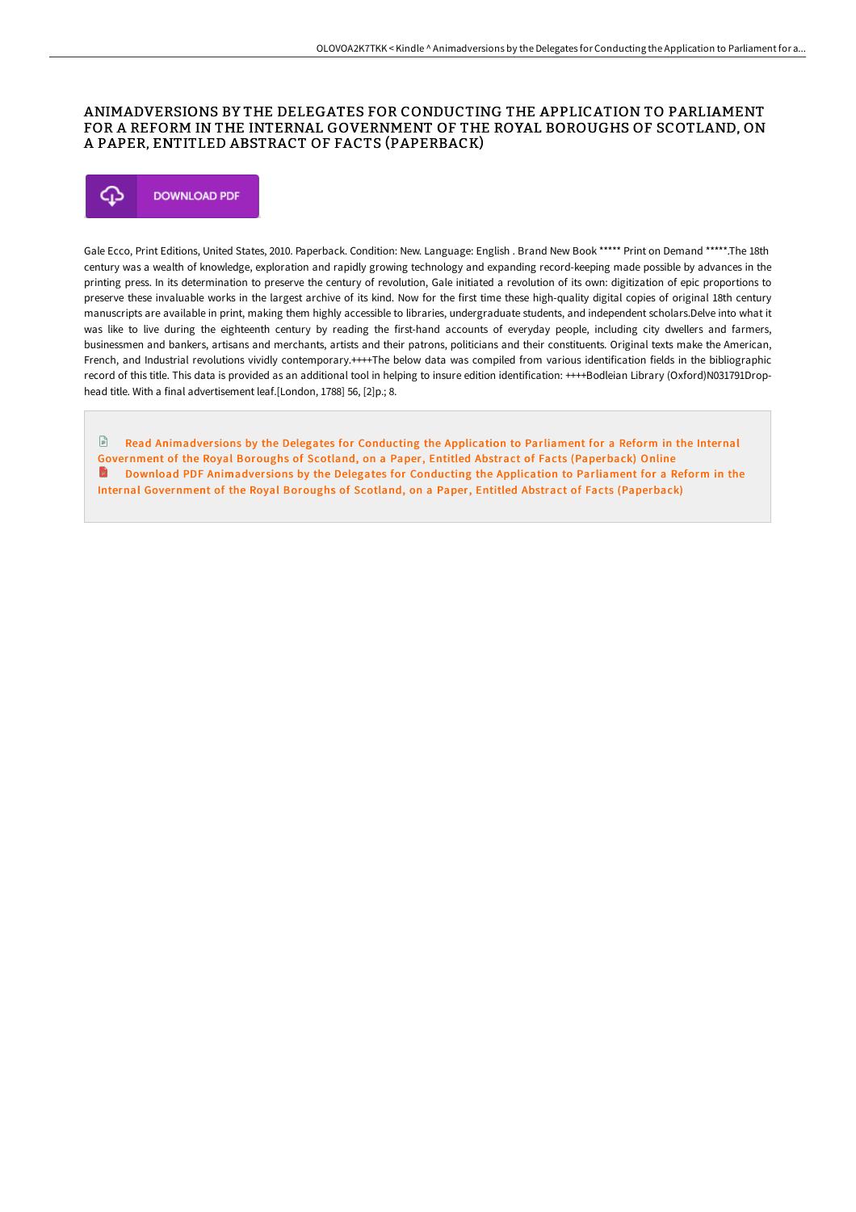### ANIMADVERSIONS BY THE DELEGATES FOR CONDUCTING THE APPLICATION TO PARLIAMENT FOR A REFORM IN THE INTERNAL GOVERNMENT OF THE ROYAL BOROUGHS OF SCOTLAND, ON A PAPER, ENTITLED ABSTRACT OF FACTS (PAPERBACK)



Gale Ecco, Print Editions, United States, 2010. Paperback. Condition: New. Language: English . Brand New Book \*\*\*\*\* Print on Demand \*\*\*\*\*.The 18th century was a wealth of knowledge, exploration and rapidly growing technology and expanding record-keeping made possible by advances in the printing press. In its determination to preserve the century of revolution, Gale initiated a revolution of its own: digitization of epic proportions to preserve these invaluable works in the largest archive of its kind. Now for the first time these high-quality digital copies of original 18th century manuscripts are available in print, making them highly accessible to libraries, undergraduate students, and independent scholars.Delve into what it was like to live during the eighteenth century by reading the first-hand accounts of everyday people, including city dwellers and farmers, businessmen and bankers, artisans and merchants, artists and their patrons, politicians and their constituents. Original texts make the American, French, and Industrial revolutions vividly contemporary.++++The below data was compiled from various identification fields in the bibliographic record of this title. This data is provided as an additional tool in helping to insure edition identification: ++++Bodleian Library (Oxford)N031791Drophead title. With a final advertisement leaf.[London, 1788] 56, [2]p.; 8.

 $\mathbb{R}$ Read Animadver sions by the Delegates for Conducting the Application to Parliament for a Reform in the Internal [Government](http://www.bookdirs.com/animadversions-by-the-delegates-for-conducting-t.html) of the Royal Boroughs of Scotland, on a Paper, Entitled Abstract of Facts (Paperback) Online **D** Download PDF Animadversions by the Delegates for Conducting the Application to Parliament for a Reform in the Internal [Government](http://www.bookdirs.com/animadversions-by-the-delegates-for-conducting-t.html) of the Royal Boroughs of Scotland, on a Paper, Entitled Abstract of Facts (Paperback)